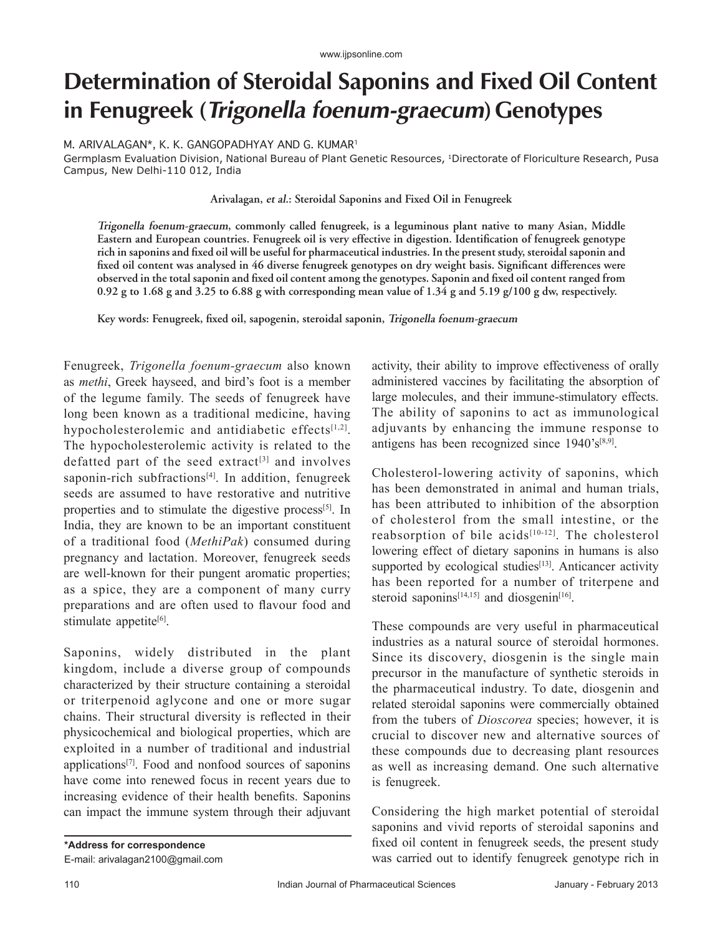## **Determination of Steroidal Saponins and Fixed Oil Content in Fenugreek (Trigonella foenum-graecum)Genotypes**

M. ARIVALAGAN\*, K. K. GANGOPADHYAY AND G. KUMAR1

Germplasm Evaluation Division, National Bureau of Plant Genetic Resources, 1Directorate of Floriculture Research, Pusa Campus, New Delhi‑110 012, India

**Arivalagan, et al.: Steroidal Saponins and Fixed Oil in Fenugreek**

**Trigonella foenum‑graecum, commonly called fenugreek, is a leguminous plant native to many Asian, Middle Eastern and European countries. Fenugreek oil is very effective in digestion. Identification of fenugreek genotype rich in saponins and fixed oil will be useful for pharmaceutical industries. In the present study, steroidal saponin and fixed oil content was analysed in 46 diverse fenugreek genotypes on dry weight basis. Significant differences were observed in the total saponin and fixed oil content among the genotypes. Saponin and fixed oil content ranged from 0.92 g to 1.68 g and 3.25 to 6.88 g with corresponding mean value of 1.34 g and 5.19 g/100 g dw, respectively.**

**Key words: Fenugreek, fixed oil, sapogenin, steroidal saponin, Trigonella foenum‑graecum**

Fenugreek, *Trigonella foenum‑graecum* also known as *methi*, Greek hayseed, and bird's foot is a member of the legume family. The seeds of fenugreek have long been known as a traditional medicine, having hypocholesterolemic and antidiabetic effects[1,2]. The hypocholesterolemic activity is related to the defatted part of the seed extract<sup>[3]</sup> and involves saponin-rich subfractions<sup>[4]</sup>. In addition, fenugreek seeds are assumed to have restorative and nutritive properties and to stimulate the digestive process<sup>[5]</sup>. In India, they are known to be an important constituent of a traditional food (*MethiPak*) consumed during pregnancy and lactation. Moreover, fenugreek seeds are well-known for their pungent aromatic properties; as a spice, they are a component of many curry preparations and are often used to flavour food and stimulate appetite<sup>[6]</sup>.

Saponins, widely distributed in the plant kingdom, include a diverse group of compounds characterized by their structure containing a steroidal or triterpenoid aglycone and one or more sugar chains. Their structural diversity is reflected in their physicochemical and biological properties, which are exploited in a number of traditional and industrial applications[7]. Food and nonfood sources of saponins have come into renewed focus in recent years due to increasing evidence of their health benefits. Saponins can impact the immune system through their adjuvant

**\*Address for correspondence** E-mail: arivalagan2100@gmail.com activity, their ability to improve effectiveness of orally administered vaccines by facilitating the absorption of large molecules, and their immune‑stimulatory effects. The ability of saponins to act as immunological adjuvants by enhancing the immune response to antigens has been recognized since  $1940^{\circ}$ s<sup>[8,9]</sup>.

Cholesterol‑lowering activity of saponins, which has been demonstrated in animal and human trials, has been attributed to inhibition of the absorption of cholesterol from the small intestine, or the reabsorption of bile acids<sup>[10-12]</sup>. The cholesterol lowering effect of dietary saponins in humans is also supported by ecological studies<sup>[13]</sup>. Anticancer activity has been reported for a number of triterpene and steroid saponins<sup>[14,15]</sup> and diosgenin<sup>[16]</sup>.

These compounds are very useful in pharmaceutical industries as a natural source of steroidal hormones. Since its discovery, diosgenin is the single main precursor in the manufacture of synthetic steroids in the pharmaceutical industry. To date, diosgenin and related steroidal saponins were commercially obtained from the tubers of *Dioscorea* species; however, it is crucial to discover new and alternative sources of these compounds due to decreasing plant resources as well as increasing demand. One such alternative is fenugreek.

Considering the high market potential of steroidal saponins and vivid reports of steroidal saponins and fixed oil content in fenugreek seeds, the present study was carried out to identify fenugreek genotype rich in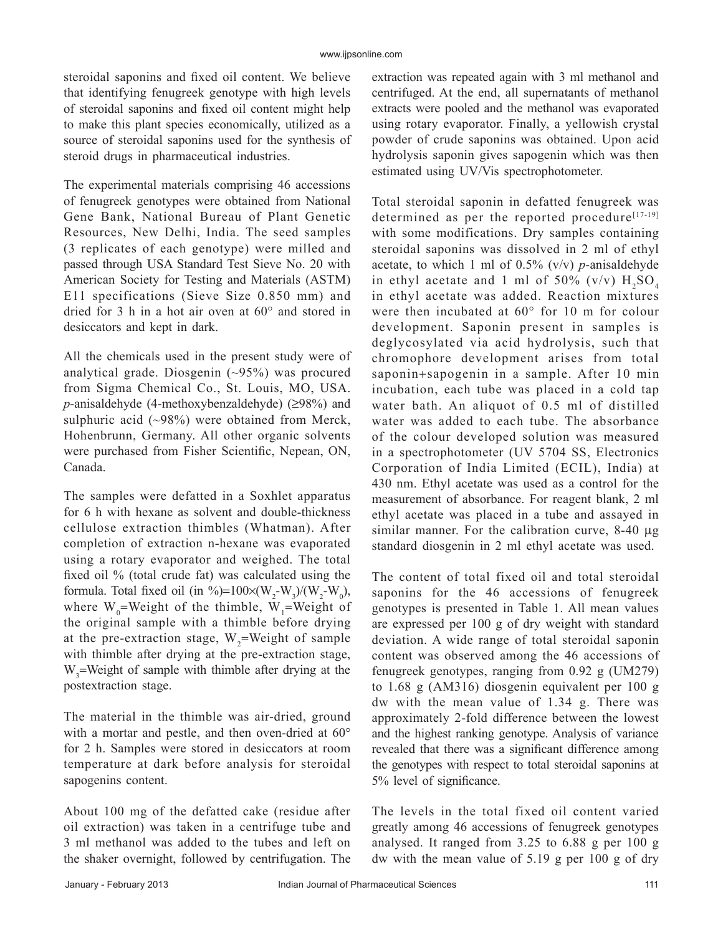steroidal saponins and fixed oil content. We believe that identifying fenugreek genotype with high levels of steroidal saponins and fixed oil content might help to make this plant species economically, utilized as a source of steroidal saponins used for the synthesis of steroid drugs in pharmaceutical industries.

The experimental materials comprising 46 accessions of fenugreek genotypes were obtained from National Gene Bank, National Bureau of Plant Genetic Resources, New Delhi, India. The seed samples (3 replicates of each genotype) were milled and passed through USA Standard Test Sieve No. 20 with American Society for Testing and Materials (ASTM) E11 specifications (Sieve Size 0.850 mm) and dried for 3 h in a hot air oven at 60° and stored in desiccators and kept in dark.

All the chemicals used in the present study were of analytical grade. Diosgenin  $(\sim)5\%$  was procured from Sigma Chemical Co., St. Louis, MO, USA. *p*-anisaldehyde (4-methoxybenzaldehyde) (≥98%) and sulphuric acid (~98%) were obtained from Merck, Hohenbrunn, Germany. All other organic solvents were purchased from Fisher Scientific, Nepean, ON, Canada.

The samples were defatted in a Soxhlet apparatus for 6 h with hexane as solvent and double-thickness cellulose extraction thimbles (Whatman). After completion of extraction n‑hexane was evaporated using a rotary evaporator and weighed. The total fixed oil % (total crude fat) was calculated using the formula. Total fixed oil (in %)=100×( $W_2-W_3$ )/( $W_2-W_0$ ), where  $W_0$ =Weight of the thimble,  $W_1$ =Weight of the original sample with a thimble before drying at the pre-extraction stage,  $W_2$ =Weight of sample with thimble after drying at the pre-extraction stage,  $W_3$ =Weight of sample with thimble after drying at the postextraction stage.

The material in the thimble was air-dried, ground with a mortar and pestle, and then oven-dried at 60° for 2 h. Samples were stored in desiccators at room temperature at dark before analysis for steroidal sapogenins content.

About 100 mg of the defatted cake (residue after oil extraction) was taken in a centrifuge tube and 3 ml methanol was added to the tubes and left on the shaker overnight, followed by centrifugation. The extraction was repeated again with 3 ml methanol and centrifuged. At the end, all supernatants of methanol extracts were pooled and the methanol was evaporated using rotary evaporator. Finally, a yellowish crystal powder of crude saponins was obtained. Upon acid hydrolysis saponin gives sapogenin which was then estimated using UV/Vis spectrophotometer.

Total steroidal saponin in defatted fenugreek was determined as per the reported procedure $[17-19]$ with some modifications. Dry samples containing steroidal saponins was dissolved in 2 ml of ethyl acetate, to which 1 ml of  $0.5\%$  (v/v) *p*-anisaldehyde in ethyl acetate and 1 ml of 50% (v/v)  $H_2SO_4$ in ethyl acetate was added. Reaction mixtures were then incubated at 60° for 10 m for colour development. Saponin present in samples is deglycosylated via acid hydrolysis, such that chromophore development arises from total saponin+sapogenin in a sample. After 10 min incubation, each tube was placed in a cold tap water bath. An aliquot of 0.5 ml of distilled water was added to each tube. The absorbance of the colour developed solution was measured in a spectrophotometer (UV 5704 SS, Electronics Corporation of India Limited (ECIL), India) at 430 nm. Ethyl acetate was used as a control for the measurement of absorbance. For reagent blank, 2 ml ethyl acetate was placed in a tube and assayed in similar manner. For the calibration curve, 8-40 μg standard diosgenin in 2 ml ethyl acetate was used.

The content of total fixed oil and total steroidal saponins for the 46 accessions of fenugreek genotypes is presented in Table 1. All mean values are expressed per 100 g of dry weight with standard deviation. A wide range of total steroidal saponin content was observed among the 46 accessions of fenugreek genotypes, ranging from 0.92 g (UM279) to 1.68 g (AM316) diosgenin equivalent per 100 g dw with the mean value of 1.34 g. There was approximately 2‑fold difference between the lowest and the highest ranking genotype. Analysis of variance revealed that there was a significant difference among the genotypes with respect to total steroidal saponins at 5% level of significance.

The levels in the total fixed oil content varied greatly among 46 accessions of fenugreek genotypes analysed. It ranged from 3.25 to 6.88 g per 100 g dw with the mean value of 5.19 g per 100 g of dry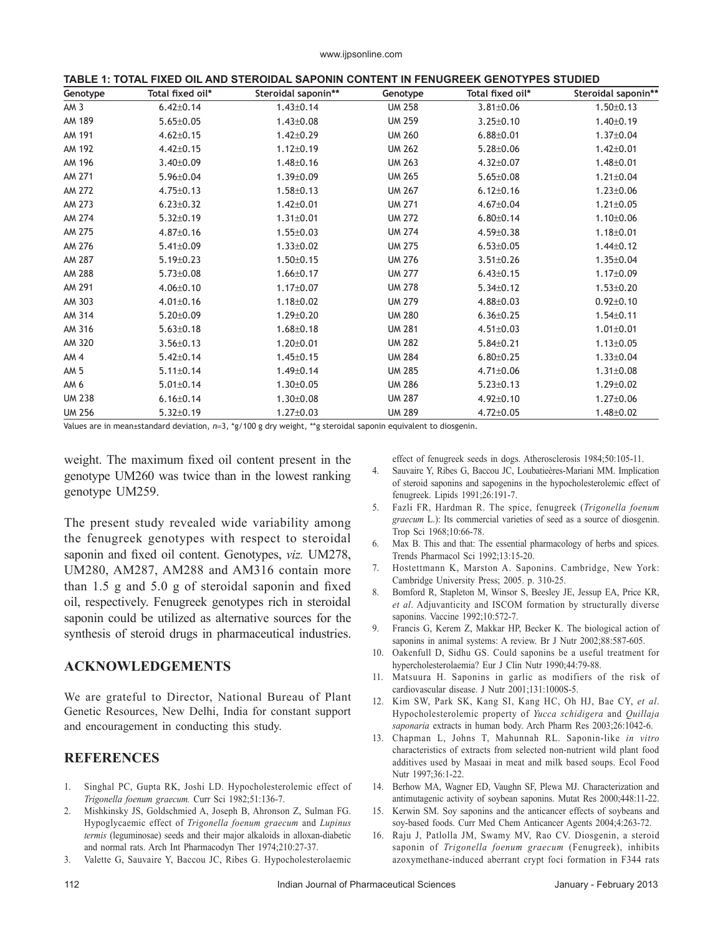|  | TABLE 1: TOTAL FIXED OIL AND STEROIDAL SAPONIN CONTENT IN FENUGREEK GENOTYPES STUDIED |  |
|--|---------------------------------------------------------------------------------------|--|
|--|---------------------------------------------------------------------------------------|--|

| Genotype        | Total fixed oil* | Steroidal saponin** | Genotype      | Total fixed oil* | Steroidal saponin** |
|-----------------|------------------|---------------------|---------------|------------------|---------------------|
| AM <sub>3</sub> | $6.42 \pm 0.14$  | $1.43 \pm 0.14$     | <b>UM 258</b> | $3.81 \pm 0.06$  | $1.50 \pm 0.13$     |
| AM 189          | $5.65 \pm 0.05$  | $1.43 \pm 0.08$     | <b>UM 259</b> | $3.25 \pm 0.10$  | $1.40 \pm 0.19$     |
| AM 191          | $4.62 \pm 0.15$  | $1.42 \pm 0.29$     | <b>UM 260</b> | $6.88 \pm 0.01$  | $1.37 \pm 0.04$     |
| AM 192          | $4.42 \pm 0.15$  | $1.12 \pm 0.19$     | <b>UM 262</b> | $5.28 \pm 0.06$  | $1.42 \pm 0.01$     |
| AM 196          | $3.40 \pm 0.09$  | $1.48 \pm 0.16$     | <b>UM 263</b> | $4.32 \pm 0.07$  | $1.48 \pm 0.01$     |
| AM 271          | $5.96 \pm 0.04$  | $1.39 \pm 0.09$     | <b>UM 265</b> | $5.65 \pm 0.08$  | $1.21 \pm 0.04$     |
| AM 272          | $4.75 \pm 0.13$  | $1.58 \pm 0.13$     | <b>UM 267</b> | $6.12 \pm 0.16$  | $1.23 \pm 0.06$     |
| AM 273          | $6.23 \pm 0.32$  | $1.42 \pm 0.01$     | <b>UM 271</b> | $4.67 \pm 0.04$  | $1.21 \pm 0.05$     |
| AM 274          | $5.32 \pm 0.19$  | $1.31 \pm 0.01$     | <b>UM 272</b> | $6.80 \pm 0.14$  | $1.10 \pm 0.06$     |
| AM 275          | $4.87 \pm 0.16$  | $1.55 \pm 0.03$     | <b>UM 274</b> | $4.59 \pm 0.38$  | $1.18 \pm 0.01$     |
| AM 276          | $5.41 \pm 0.09$  | $1.33 \pm 0.02$     | <b>UM 275</b> | $6.53 \pm 0.05$  | $1.44 \pm 0.12$     |
| AM 287          | $5.19 \pm 0.23$  | $1.50 \pm 0.15$     | <b>UM 276</b> | $3.51 \pm 0.26$  | $1.35 \pm 0.04$     |
| AM 288          | $5.73 \pm 0.08$  | $1.66 \pm 0.17$     | <b>UM 277</b> | $6.43 \pm 0.15$  | $1.17 \pm 0.09$     |
| AM 291          | $4.06 \pm 0.10$  | $1.17 \pm 0.07$     | <b>UM 278</b> | $5.34 \pm 0.12$  | $1.53 \pm 0.20$     |
| AM 303          | $4.01 \pm 0.16$  | $1.18 \pm 0.02$     | <b>UM 279</b> | $4.88 \pm 0.03$  | $0.92 \pm 0.10$     |
| AM 314          | $5.20 \pm 0.09$  | $1.29 \pm 0.20$     | <b>UM 280</b> | $6.36 \pm 0.25$  | $1.54 \pm 0.11$     |
| AM 316          | $5.63 \pm 0.18$  | $1.68 \pm 0.18$     | <b>UM 281</b> | $4.51 \pm 0.03$  | $1.01 \pm 0.01$     |
| AM 320          | $3.56 \pm 0.13$  | $1.20 \pm 0.01$     | <b>UM 282</b> | $5.84 \pm 0.21$  | $1.13 \pm 0.05$     |
| AM <sub>4</sub> | $5.42 \pm 0.14$  | $1.45 \pm 0.15$     | <b>UM 284</b> | $6.80 \pm 0.25$  | $1.33 \pm 0.04$     |
| AM <sub>5</sub> | $5.11 \pm 0.14$  | $1.49 \pm 0.14$     | <b>UM 285</b> | $4.71 \pm 0.06$  | $1.31 \pm 0.08$     |
| AM <sub>6</sub> | $5.01 \pm 0.14$  | $1.30 \pm 0.05$     | <b>UM 286</b> | $5.23 \pm 0.13$  | $1.29 \pm 0.02$     |
| <b>UM 238</b>   | $6.16 \pm 0.14$  | $1.30 \pm 0.08$     | <b>UM 287</b> | $4.92 \pm 0.10$  | $1.27 \pm 0.06$     |
| <b>UM 256</b>   | $5.32 \pm 0.19$  | $1.27 \pm 0.03$     | <b>UM 289</b> | $4.72 \pm 0.05$  | $1.48 \pm 0.02$     |

Values are in mean±standard deviation, *n*=3, \*g/100 g dry weight, \*\*g steroidal saponin equivalent to diosgenin.

weight. The maximum fixed oil content present in the genotype UM260 was twice than in the lowest ranking genotype UM259.

The present study revealed wide variability among the fenugreek genotypes with respect to steroidal saponin and fixed oil content. Genotypes, *viz.* UM278, UM280, AM287, AM288 and AM316 contain more than 1.5 g and 5.0 g of steroidal saponin and fixed oil, respectively. Fenugreek genotypes rich in steroidal saponin could be utilized as alternative sources for the synthesis of steroid drugs in pharmaceutical industries.

## **ACKNOWLEDGEMENTS**

We are grateful to Director, National Bureau of Plant Genetic Resources, New Delhi, India for constant support and encouragement in conducting this study.

## **REFERENCES**

- 1. Singhal PC, Gupta RK, Joshi LD. Hypocholesterolemic effect of *Trigonella foenum graecum.* Curr Sci 1982;51:136‑7.
- 2. Mishkinsky JS, Goldschmied A, Joseph B, Ahronson Z, Sulman FG. Hypoglycaemic effect of *Trigonella foenum graecum* and *Lupinus termis* (leguminosae) seeds and their major alkaloids in alloxan-diabetic and normal rats. Arch Int Pharmacodyn Ther 1974;210:27‑37.
- 3. Valette G, Sauvaire Y, Baccou JC, Ribes G. Hypocholesterolaemic

effect of fenugreek seeds in dogs. Atherosclerosis 1984;50:105-11.

- 4. Sauvaire Y, Ribes G, Baccou JC, Loubatieères‑Mariani MM. Implication of steroid saponins and sapogenins in the hypocholesterolemic effect of fenugreek. Lipids 1991;26:191‑7.
- 5. Fazli FR, Hardman R. The spice, fenugreek (*Trigonella foenum graecum* L.): Its commercial varieties of seed as a source of diosgenin. Trop Sci 1968;10:66-78.
- 6. Max B. This and that: The essential pharmacology of herbs and spices. Trends Pharmacol Sci 1992;13:15‑20.
- 7. Hostettmann K, Marston A. Saponins. Cambridge, New York: Cambridge University Press; 2005. p. 310‑25.
- 8. Bomford R, Stapleton M, Winsor S, Beesley JE, Jessup EA, Price KR, *et al*. Adjuvanticity and ISCOM formation by structurally diverse saponins. Vaccine 1992;10:572-7.
- 9. Francis G, Kerem Z, Makkar HP, Becker K. The biological action of saponins in animal systems: A review. Br J Nutr 2002;88:587-605.
- 10. Oakenfull D, Sidhu GS. Could saponins be a useful treatment for hypercholesterolaemia? Eur J Clin Nutr 1990;44:79‑88.
- 11. Matsuura H. Saponins in garlic as modifiers of the risk of cardiovascular disease. J Nutr 2001;131:1000S-5.
- 12. Kim SW, Park SK, Kang SI, Kang HC, Oh HJ, Bae CY, *et al*. Hypocholesterolemic property of *Yucca schidigera* and *Quillaja*  saponaria extracts in human body. Arch Pharm Res 2003;26:1042-6.
- 13. Chapman L, Johns T, Mahunnah RL. Saponin‑like *in vitro*  characteristics of extracts from selected non‑nutrient wild plant food additives used by Masaai in meat and milk based soups. Ecol Food Nutr 1997;36:1‑22.
- 14. Berhow MA, Wagner ED, Vaughn SF, Plewa MJ. Characterization and antimutagenic activity of soybean saponins. Mutat Res 2000;448:11‑22.
- 15. Kerwin SM. Soy saponins and the anticancer effects of soybeans and soy-based foods. Curr Med Chem Anticancer Agents 2004;4:263-72.
- 16. Raju J, Patlolla JM, Swamy MV, Rao CV. Diosgenin, a steroid saponin of *Trigonella foenum graecum* (Fenugreek), inhibits azoxymethane‑induced aberrant crypt foci formation in F344 rats